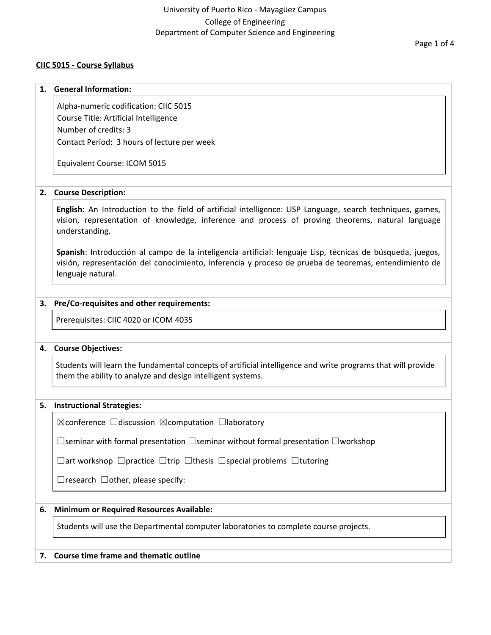## **CIIC 5015 - Course Syllabus**

#### **1. General Information:**

Alpha-numeric codification: CIIC 5015 Course Title: Artificial Intelligence Number of credits: 3 Contact Period: 3 hours of lecture per week

Equivalent Course: ICOM 5015

### **2. Course Description:**

**English**: An Introduction to the field of artificial intelligence: LISP Language, search techniques, games, vision, representation of knowledge, inference and process of proving theorems, natural language understanding.

**Spanish**: Introducción al campo de la inteligencia artificial: lenguaje Lisp, técnicas de búsqueda, juegos, visión, representación del conocimiento, inferencia y proceso de prueba de teoremas, entendimiento de lenguaje natural.

## **3. Pre/Co-requisites and other requirements:**

Prerequisites: CIIC 4020 or ICOM 4035

### **4. Course Objectives:**

Students will learn the fundamental concepts of artificial intelligence and write programs that will provide them the ability to analyze and design intelligent systems.

### **5. Instructional Strategies:**

☒conference ☐discussion ☒computation ☐laboratory

☐seminar with formal presentation ☐seminar without formal presentation ☐workshop

☐art workshop ☐practice ☐trip ☐thesis ☐special problems ☐tutoring

 $\Box$ research  $\Box$ other, please specify:

## **6. Minimum or Required Resources Available:**

Students will use the Departmental computer laboratories to complete course projects.

## **7. Course time frame and thematic outline**

Page 1 of 4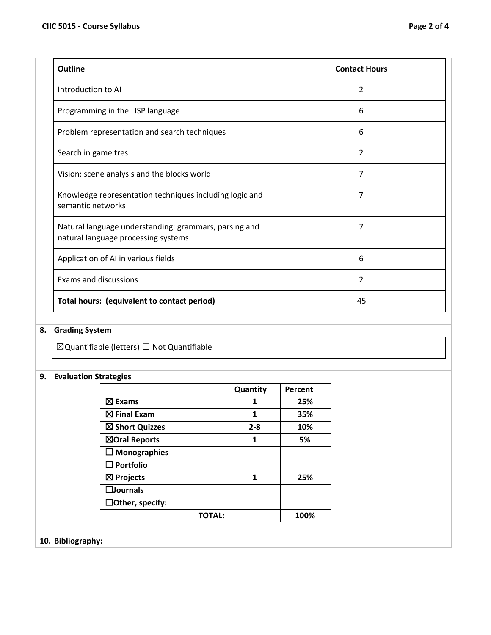| <b>Outline</b>                                                                               | <b>Contact Hours</b> |
|----------------------------------------------------------------------------------------------|----------------------|
| Introduction to AI                                                                           | $\overline{2}$       |
| Programming in the LISP language                                                             | 6                    |
| Problem representation and search techniques                                                 | 6                    |
| Search in game tres                                                                          | 2                    |
| Vision: scene analysis and the blocks world                                                  | 7                    |
| Knowledge representation techniques including logic and<br>semantic networks                 | 7                    |
| Natural language understanding: grammars, parsing and<br>natural language processing systems | 7                    |
| Application of AI in various fields                                                          | 6                    |
| Exams and discussions                                                                        | 2                    |
| Total hours: (equivalent to contact period)                                                  | 45                   |

## **8. Grading System**

 $\boxtimes$ Quantifiable (letters)  $\Box$  Not Quantifiable

## **9. Evaluation Strategies**

|                        | Quantity | Percent |
|------------------------|----------|---------|
| $\boxtimes$ Exams      | 1        | 25%     |
| $\boxtimes$ Final Exam | 1        | 35%     |
| ⊠ Short Quizzes        | $2 - 8$  | 10%     |
| ⊠Oral Reports          | 1        | 5%      |
| $\square$ Monographies |          |         |
| $\square$ Portfolio    |          |         |
| $\boxtimes$ Projects   | 1        | 25%     |
| $\square$ Journals     |          |         |
| $\Box$ Other, specify: |          |         |
| ΤΟΤΑΙ:                 |          | 100%    |

# **10. Bibliography:**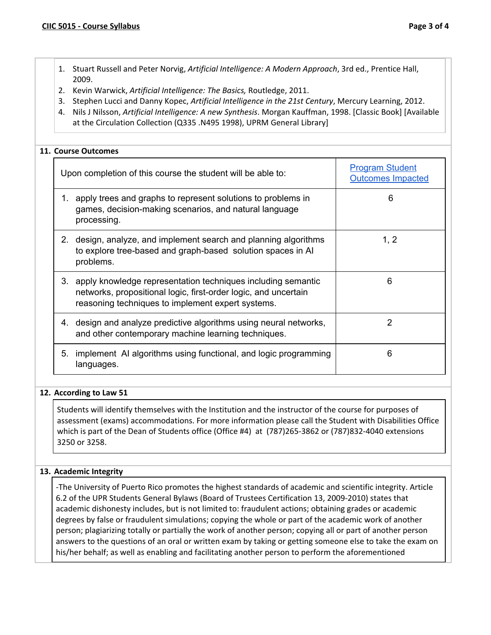- 1. Stuart Russell and Peter Norvig, *Artificial Intelligence: A Modern Approach*, 3rd ed., Prentice Hall, 2009.
- 2. Kevin Warwick, *Artificial Intelligence: The Basics,* Routledge, 2011.
- 3. Stephen Lucci and Danny Kopec, *Artificial Intelligence in the 21st Century*, Mercury Learning, 2012.
- 4. Nils J Nilsson, *Artificial Intelligence: A new Synthesis*. Morgan Kauffman, 1998. [Classic Book] [Available at the Circulation Collection (Q335 .N495 1998), UPRM General Library]

## **11. Course Outcomes**

|    | Upon completion of this course the student will be able to:                                                                                                                             | <b>Program Student</b><br><b>Outcomes Impacted</b> |
|----|-----------------------------------------------------------------------------------------------------------------------------------------------------------------------------------------|----------------------------------------------------|
| 1. | apply trees and graphs to represent solutions to problems in<br>games, decision-making scenarios, and natural language<br>processing.                                                   | 6                                                  |
|    | 2. design, analyze, and implement search and planning algorithms<br>to explore tree-based and graph-based solution spaces in AI<br>problems.                                            | 1, 2                                               |
|    | 3. apply knowledge representation techniques including semantic<br>networks, propositional logic, first-order logic, and uncertain<br>reasoning techniques to implement expert systems. | 6                                                  |
|    | 4. design and analyze predictive algorithms using neural networks,<br>and other contemporary machine learning techniques.                                                               | 2                                                  |
| 5. | implement AI algorithms using functional, and logic programming<br>languages.                                                                                                           | 6                                                  |

### **12. According to Law 51**

Students will identify themselves with the Institution and the instructor of the course for purposes of assessment (exams) accommodations. For more information please call the Student with Disabilities Office which is part of the Dean of Students office (Office #4) at (787)265-3862 or (787)832-4040 extensions 3250 or 3258.

### **13. Academic Integrity**

-The University of Puerto Rico promotes the highest standards of academic and scientific integrity. Article 6.2 of the UPR Students General Bylaws (Board of Trustees Certification 13, 2009-2010) states that academic dishonesty includes, but is not limited to: fraudulent actions; obtaining grades or academic degrees by false or fraudulent simulations; copying the whole or part of the academic work of another person; plagiarizing totally or partially the work of another person; copying all or part of another person answers to the questions of an oral or written exam by taking or getting someone else to take the exam on his/her behalf; as well as enabling and facilitating another person to perform the aforementioned